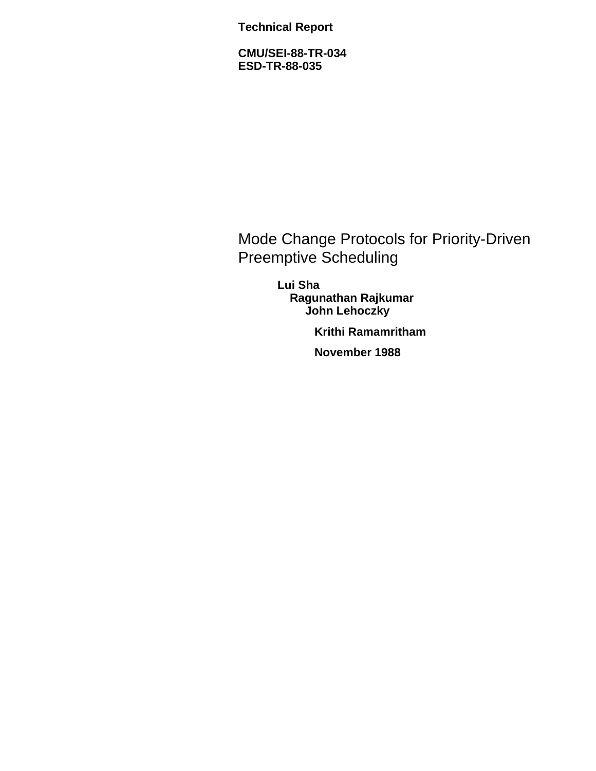**Technical Report**

**CMU/SEI-88-TR-034 ESD-TR-88-035**

Mode Change Protocols for Priority-Driven Preemptive Scheduling

> **Lui Sha Ragunathan Rajkumar John Lehoczky**

> > **Krithi Ramamritham**

**November 1988**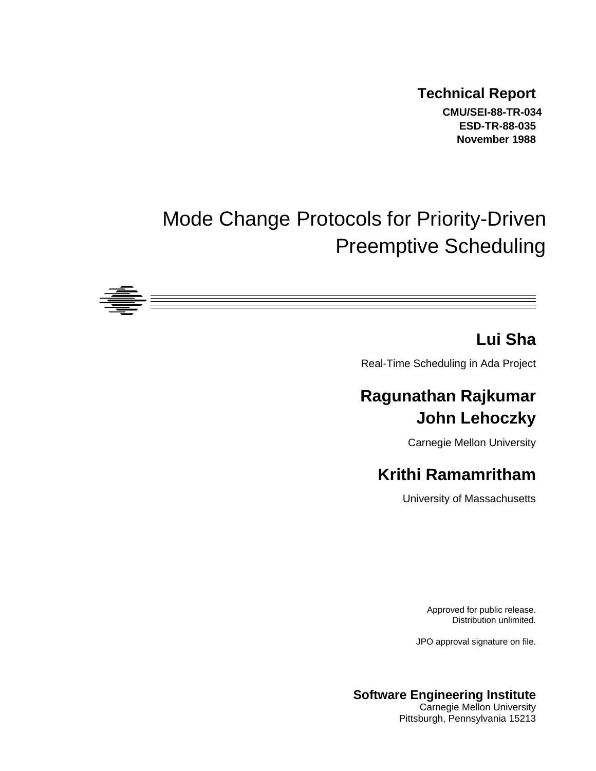**Technical Report CMU/SEI-88-TR-034 ESD-TR-88-035 November 1988**

# Mode Change Protocols for Priority-Driven Preemptive Scheduling



## **Lui Sha**

Real-Time Scheduling in Ada Project

# **Ragunathan Rajkumar John Lehoczky**

Carnegie Mellon University

# **Krithi Ramamritham**

University of Massachusetts

Approved for public release. Distribution unlimited.

JPO approval signature on file.

#### **Software Engineering Institute** Carnegie Mellon University

Pittsburgh, Pennsylvania 15213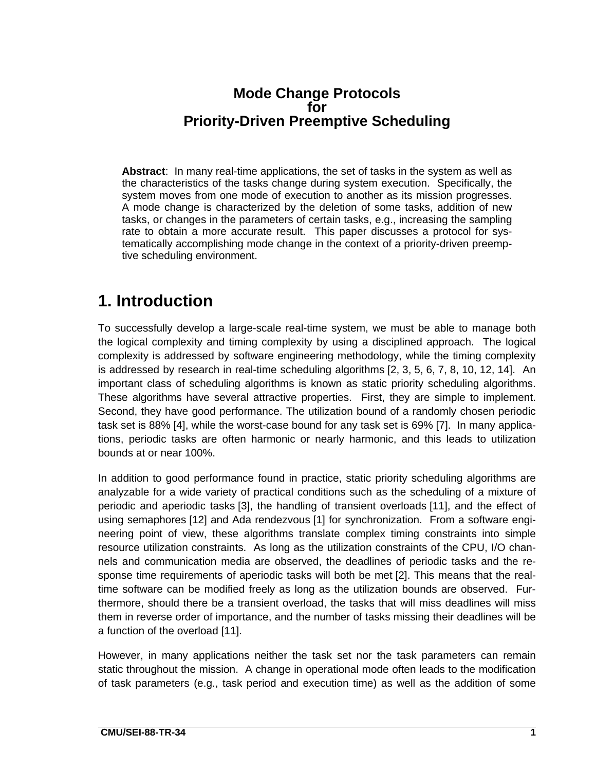#### **Mode Change Protocols for Priority-Driven Preemptive Scheduling**

**Abstract**: In many real-time applications, the set of tasks in the system as well as the characteristics of the tasks change during system execution. Specifically, the system moves from one mode of execution to another as its mission progresses. A mode change is characterized by the deletion of some tasks, addition of new tasks, or changes in the parameters of certain tasks, e.g., increasing the sampling rate to obtain a more accurate result. This paper discusses a protocol for systematically accomplishing mode change in the context of a priority-driven preemptive scheduling environment.

## **1. Introduction**

To successfully develop a large-scale real-time system, we must be able to manage both the logical complexity and timing complexity by using a disciplined approach. The logical complexity is addressed by software engineering methodology, while the timing complexity is addressed by research in real-time scheduling algorithms [2, 3, 5, 6, 7, 8, 10, 12, 14]. An important class of scheduling algorithms is known as static priority scheduling algorithms. These algorithms have several attractive properties. First, they are simple to implement. Second, they have good performance. The utilization bound of a randomly chosen periodic task set is 88% [4], while the worst-case bound for any task set is 69% [7]. In many applications, periodic tasks are often harmonic or nearly harmonic, and this leads to utilization bounds at or near 100%.

In addition to good performance found in practice, static priority scheduling algorithms are analyzable for a wide variety of practical conditions such as the scheduling of a mixture of periodic and aperiodic tasks [3], the handling of transient overloads [11], and the effect of using semaphores [12] and Ada rendezvous [1] for synchronization. From a software engineering point of view, these algorithms translate complex timing constraints into simple resource utilization constraints. As long as the utilization constraints of the CPU, I/O channels and communication media are observed, the deadlines of periodic tasks and the response time requirements of aperiodic tasks will both be met [2]. This means that the realtime software can be modified freely as long as the utilization bounds are observed. Furthermore, should there be a transient overload, the tasks that will miss deadlines will miss them in reverse order of importance, and the number of tasks missing their deadlines will be a function of the overload [11].

However, in many applications neither the task set nor the task parameters can remain static throughout the mission. A change in operational mode often leads to the modification of task parameters (e.g., task period and execution time) as well as the addition of some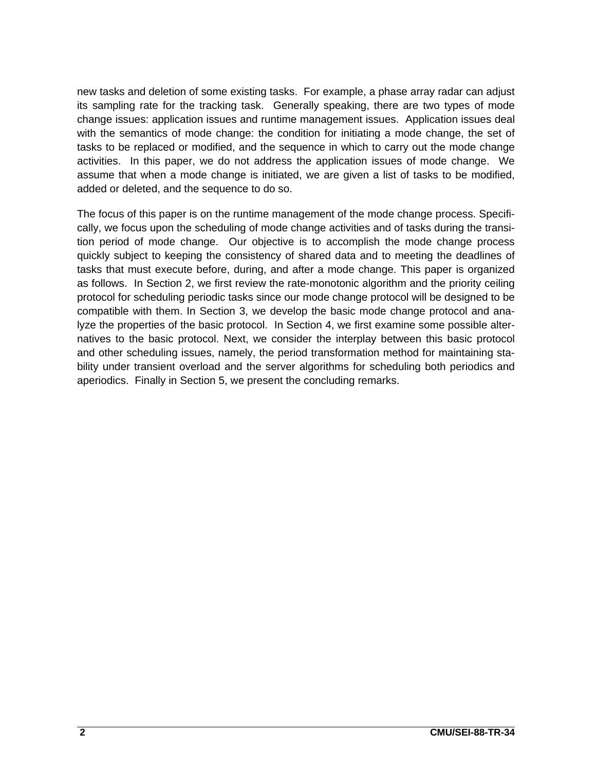new tasks and deletion of some existing tasks. For example, a phase array radar can adjust its sampling rate for the tracking task. Generally speaking, there are two types of mode change issues: application issues and runtime management issues. Application issues deal with the semantics of mode change: the condition for initiating a mode change, the set of tasks to be replaced or modified, and the sequence in which to carry out the mode change activities. In this paper, we do not address the application issues of mode change. We assume that when a mode change is initiated, we are given a list of tasks to be modified, added or deleted, and the sequence to do so.

The focus of this paper is on the runtime management of the mode change process. Specifically, we focus upon the scheduling of mode change activities and of tasks during the transition period of mode change. Our objective is to accomplish the mode change process quickly subject to keeping the consistency of shared data and to meeting the deadlines of tasks that must execute before, during, and after a mode change. This paper is organized as follows. In Section 2, we first review the rate-monotonic algorithm and the priority ceiling protocol for scheduling periodic tasks since our mode change protocol will be designed to be compatible with them. In Section 3, we develop the basic mode change protocol and analyze the properties of the basic protocol. In Section 4, we first examine some possible alternatives to the basic protocol. Next, we consider the interplay between this basic protocol and other scheduling issues, namely, the period transformation method for maintaining stability under transient overload and the server algorithms for scheduling both periodics and aperiodics. Finally in Section 5, we present the concluding remarks.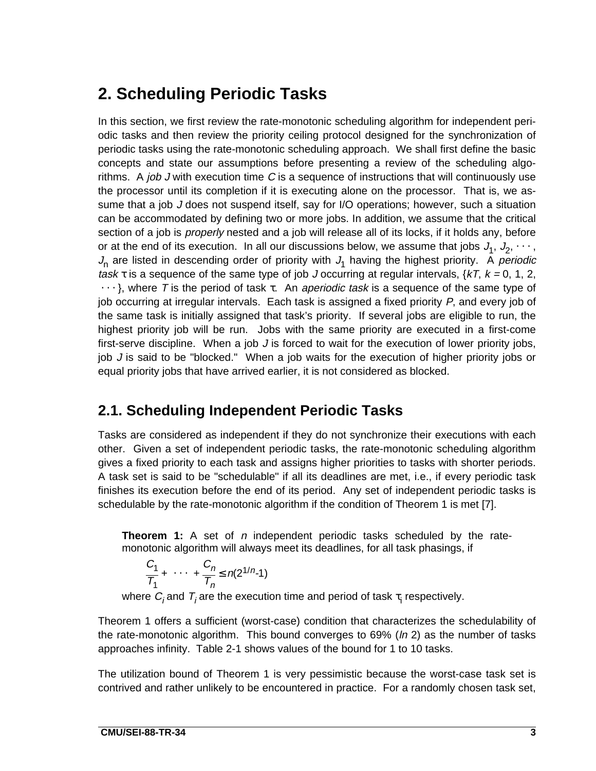# **2. Scheduling Periodic Tasks**

In this section, we first review the rate-monotonic scheduling algorithm for independent periodic tasks and then review the priority ceiling protocol designed for the synchronization of periodic tasks using the rate-monotonic scheduling approach. We shall first define the basic concepts and state our assumptions before presenting a review of the scheduling algorithms. A job J with execution time  $C$  is a sequence of instructions that will continuously use the processor until its completion if it is executing alone on the processor. That is, we assume that a job J does not suspend itself, say for I/O operations; however, such a situation can be accommodated by defining two or more jobs. In addition, we assume that the critical section of a job is *properly* nested and a job will release all of its locks, if it holds any, before or at the end of its execution. In all our discussions below, we assume that jobs  $J_1, J_2, \cdots$ ,  $J<sub>n</sub>$  are listed in descending order of priority with  $J<sub>1</sub>$  having the highest priority. A periodic task  $\tau$  is a sequence of the same type of job J occurring at regular intervals,  $\{kT, k = 0, 1, 2, \ldots\}$  $\cdots$ }, where T is the period of task τ. An aperiodic task is a sequence of the same type of job occurring at irregular intervals. Each task is assigned a fixed priority P, and every job of the same task is initially assigned that task's priority. If several jobs are eligible to run, the highest priority job will be run. Jobs with the same priority are executed in a first-come first-serve discipline. When a job J is forced to wait for the execution of lower priority jobs, job  $J$  is said to be "blocked." When a job waits for the execution of higher priority jobs or equal priority jobs that have arrived earlier, it is not considered as blocked.

#### **2.1. Scheduling Independent Periodic Tasks**

Tasks are considered as independent if they do not synchronize their executions with each other. Given a set of independent periodic tasks, the rate-monotonic scheduling algorithm gives a fixed priority to each task and assigns higher priorities to tasks with shorter periods. A task set is said to be "schedulable" if all its deadlines are met, i.e., if every periodic task finishes its execution before the end of its period. Any set of independent periodic tasks is schedulable by the rate-monotonic algorithm if the condition of Theorem 1 is met [7].

**Theorem 1:** A set of *n* independent periodic tasks scheduled by the ratemonotonic algorithm will always meet its deadlines, for all task phasings, if

$$
\frac{C_1}{T_1} + \cdots + \frac{C_n}{T_n} \le n(2^{1/n-1})
$$

where  $C_i$  and  $T_i$  are the execution time and period of task  $\tau_i$  respectively.

Theorem 1 offers a sufficient (worst-case) condition that characterizes the schedulability of the rate-monotonic algorithm. This bound converges to 69% ( $ln 2$ ) as the number of tasks approaches infinity. Table 2-1 shows values of the bound for 1 to 10 tasks.

The utilization bound of Theorem 1 is very pessimistic because the worst-case task set is contrived and rather unlikely to be encountered in practice. For a randomly chosen task set,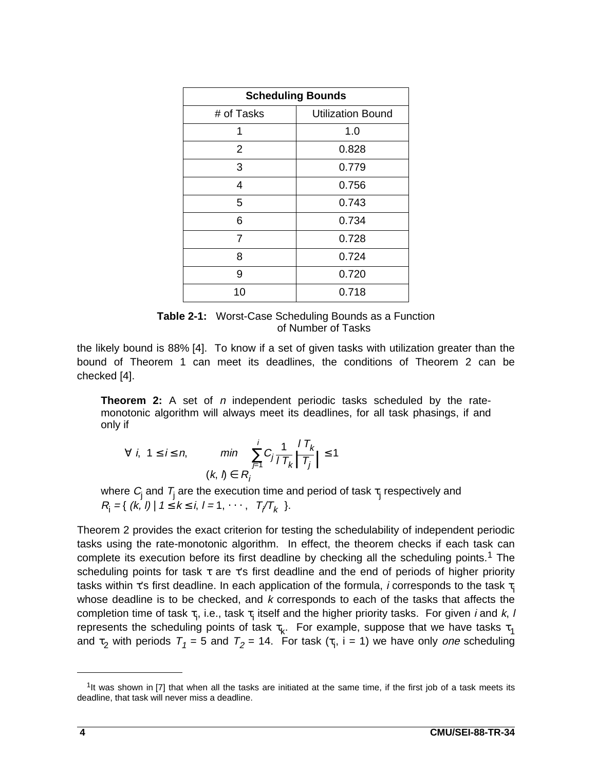| <b>Scheduling Bounds</b> |                          |  |
|--------------------------|--------------------------|--|
| # of Tasks               | <b>Utilization Bound</b> |  |
| 1                        | 1.0                      |  |
| $\overline{2}$           | 0.828                    |  |
| 3                        | 0.779                    |  |
| 4                        | 0.756                    |  |
| 5                        | 0.743                    |  |
| 6                        | 0.734                    |  |
| 7                        | 0.728                    |  |
| 8                        | 0.724                    |  |
| 9                        | 0.720                    |  |
| 10                       | 0.718                    |  |

**Table 2-1:** Worst-Case Scheduling Bounds as a Function of Number of Tasks

the likely bound is 88% [4]. To know if a set of given tasks with utilization greater than the bound of Theorem 1 can meet its deadlines, the conditions of Theorem 2 can be checked [4].

**Theorem 2:** A set of *n* independent periodic tasks scheduled by the ratemonotonic algorithm will always meet its deadlines, for all task phasings, if and only if

$$
\forall i, 1 \le i \le n, \qquad \min \sum_{j=1}^{i} C_j \frac{1}{1 \cdot T_k} \left[ T_{\overline{I}} \right] \le 1
$$
  
(k, l)  $\in R_i$ 

where  $C_{\rm j}$  and  $\mathcal{T}_{\rm j}$  are the execution time and period of task  $\tau_{\rm j}$  respectively and  $R_{i} = \{ (k, l) | 1 \leq k \leq i, l = 1, \cdots, \lfloor T/T_{k} \rfloor \}.$ 

Theorem 2 provides the exact criterion for testing the schedulability of independent periodic tasks using the rate-monotonic algorithm. In effect, the theorem checks if each task can complete its execution before its first deadline by checking all the scheduling points.<sup>1</sup> The scheduling points for task  $\tau$  are  $\tau$ 's first deadline and the end of periods of higher priority tasks within τ's first deadline. In each application of the formula, *i* corresponds to the task  $\tau_i$ whose deadline is to be checked, and  $k$  corresponds to each of the tasks that affects the completion time of task  $\tau_i$ , i.e., task  $\tau_i$  itself and the higher priority tasks. For given *i* and *k*, *l* represents the scheduling points of task  $\tau_k$ . For example, suppose that we have tasks  $\tau_1$ and  $\tau_2$  with periods  $T_1 = 5$  and  $T_2 = 14$ . For task  $(\tau_i, i = 1)$  we have only one scheduling

 $1$ It was shown in [7] that when all the tasks are initiated at the same time, if the first job of a task meets its deadline, that task will never miss a deadline.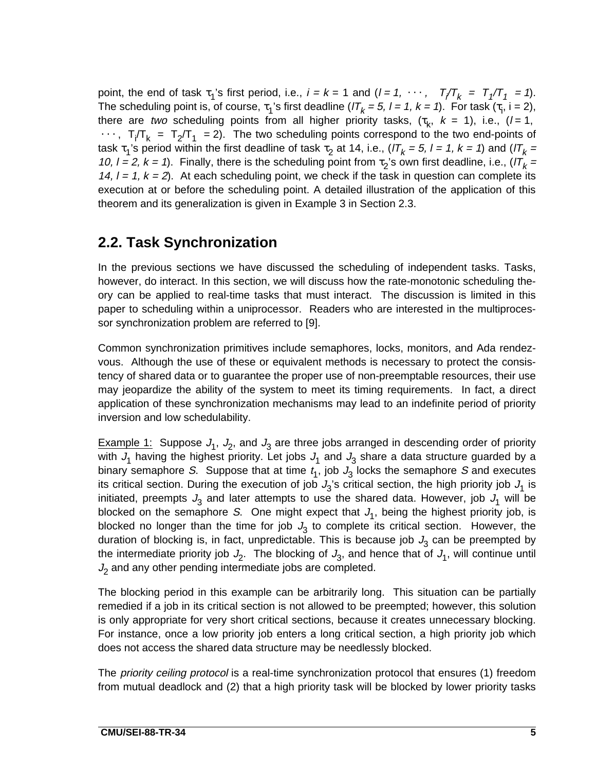point, the end of task  $\tau_1$ 's first period, i.e.,  $i = k = 1$  and  $(l = 1, \dots, \lfloor T/T_k \rfloor = T_1/T_1 = 1)$ . The scheduling point is, of course,  $\tau_1$ 's first deadline ( $lT_k = 5$ ,  $l = 1$ ,  $k = 1$ ). For task ( $\tau_i$ , i = 2), there are two scheduling points from all higher priority tasks,  $(\tau_k, k = 1)$ , i.e.,  $(l = 1,$  $\cdots$ ,  $\lfloor T_f/T_k \rfloor = \lfloor T_2/T_1 \rfloor = 2$ ). The two scheduling points correspond to the two end-points of task τ<sub>1</sub>'s period within the first deadline of task τ<sub>2</sub> at 14, i.e., (IT<sub>k</sub> = 5, l = 1, k = 1) and (IT<sub>k</sub> = 10,  $l = 2$ ,  $k = 1$ ). Finally, there is the scheduling point from  $\tau_2$ 's own first deadline, i.e.,  $l/T_k =$ 14,  $l = 1$ ,  $k = 2$ ). At each scheduling point, we check if the task in question can complete its execution at or before the scheduling point. A detailed illustration of the application of this theorem and its generalization is given in Example 3 in Section 2.3.

#### **2.2. Task Synchronization**

In the previous sections we have discussed the scheduling of independent tasks. Tasks, however, do interact. In this section, we will discuss how the rate-monotonic scheduling theory can be applied to real-time tasks that must interact. The discussion is limited in this paper to scheduling within a uniprocessor. Readers who are interested in the multiprocessor synchronization problem are referred to [9].

Common synchronization primitives include semaphores, locks, monitors, and Ada rendezvous. Although the use of these or equivalent methods is necessary to protect the consistency of shared data or to guarantee the proper use of non-preemptable resources, their use may jeopardize the ability of the system to meet its timing requirements. In fact, a direct application of these synchronization mechanisms may lead to an indefinite period of priority inversion and low schedulability.

Example 1: Suppose  $J_1$ ,  $J_2$ , and  $J_3$  are three jobs arranged in descending order of priority with  $J_1$  having the highest priority. Let jobs  $J_1$  and  $J_3$  share a data structure guarded by a binary semaphore S. Suppose that at time  $t_1$ , job  $J_3$  locks the semaphore S and executes its critical section. During the execution of job  $J_3$ 's critical section, the high priority job  $J_1$  is initiated, preempts  $J_3$  and later attempts to use the shared data. However, job  $J_1$  will be blocked on the semaphore S. One might expect that  $J_1$ , being the highest priority job, is blocked no longer than the time for job  $J_3$  to complete its critical section. However, the duration of blocking is, in fact, unpredictable. This is because job  $J_3$  can be preempted by the intermediate priority job  $J_2$ . The blocking of  $J_3$ , and hence that of  $J_1$ , will continue until  $J<sub>2</sub>$  and any other pending intermediate jobs are completed.

The blocking period in this example can be arbitrarily long. This situation can be partially remedied if a job in its critical section is not allowed to be preempted; however, this solution is only appropriate for very short critical sections, because it creates unnecessary blocking. For instance, once a low priority job enters a long critical section, a high priority job which does not access the shared data structure may be needlessly blocked.

The *priority ceiling protocol* is a real-time synchronization protocol that ensures (1) freedom from mutual deadlock and (2) that a high priority task will be blocked by lower priority tasks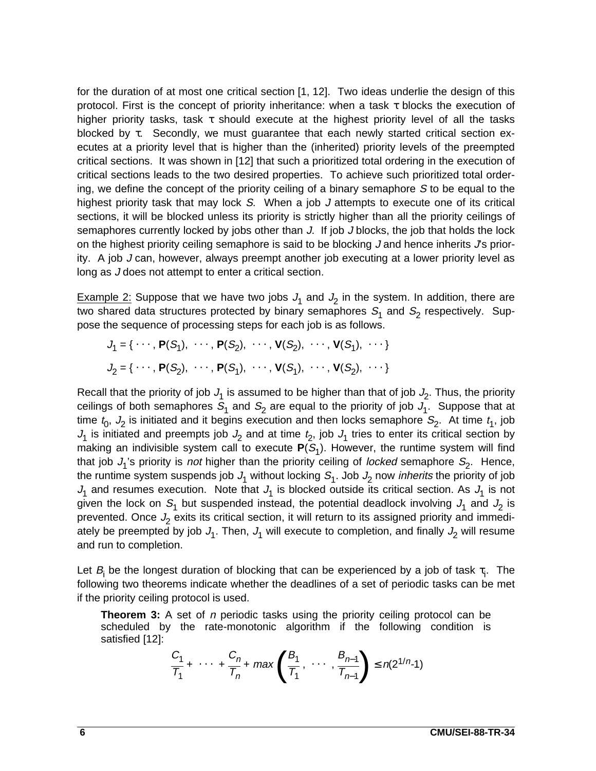for the duration of at most one critical section [1, 12]. Two ideas underlie the design of this protocol. First is the concept of priority inheritance: when a task τ blocks the execution of higher priority tasks, task  $\tau$  should execute at the highest priority level of all the tasks blocked by τ. Secondly, we must guarantee that each newly started critical section executes at a priority level that is higher than the (inherited) priority levels of the preempted critical sections. It was shown in [12] that such a prioritized total ordering in the execution of critical sections leads to the two desired properties. To achieve such prioritized total ordering, we define the concept of the priority ceiling of a binary semaphore  $S$  to be equal to the highest priority task that may lock S. When a job J attempts to execute one of its critical sections, it will be blocked unless its priority is strictly higher than all the priority ceilings of semaphores currently locked by jobs other than J. If job J blocks, the job that holds the lock on the highest priority ceiling semaphore is said to be blocking  $J$  and hence inherits  $J$ s priority. A job J can, however, always preempt another job executing at a lower priority level as long as J does not attempt to enter a critical section.

Example 2: Suppose that we have two jobs  $J_1$  and  $J_2$  in the system. In addition, there are two shared data structures protected by binary semaphores  $S_1$  and  $S_2$  respectively. Suppose the sequence of processing steps for each job is as follows.

$$
J_1 = \{ \cdots, \mathbf{P}(S_1), \cdots, \mathbf{P}(S_2), \cdots, \mathbf{V}(S_2), \cdots, \mathbf{V}(S_1), \cdots \}
$$
  

$$
J_2 = \{ \cdots, \mathbf{P}(S_2), \cdots, \mathbf{P}(S_1), \cdots, \mathbf{V}(S_1), \cdots, \mathbf{V}(S_2), \cdots \}
$$

Recall that the priority of job  $J_1$  is assumed to be higher than that of job  $J_2$ . Thus, the priority ceilings of both semaphores  $S_1$  and  $S_2$  are equal to the priority of job  $J_1$ . Suppose that at time  $t_0$ ,  $J_2$  is initiated and it begins execution and then locks semaphore  $S_2$ . At time  $t_1$ , job  $J_1$  is initiated and preempts job  $J_2$  and at time  $t_2$ , job  $J_1$  tries to enter its critical section by making an indivisible system call to execute  $P(S_1)$ . However, the runtime system will find that job  $J_1$ 's priority is *not* higher than the priority ceiling of *locked* semaphore  $S_2$ . Hence, the runtime system suspends job  $J_1$  without locking  $S_1$ . Job  $J_2$  now *inherits* the priority of job  $J_1$  and resumes execution. Note that  $J_1$  is blocked outside its critical section. As  $J_1$  is not given the lock on  $S_1$  but suspended instead, the potential deadlock involving  $J_1$  and  $J_2$  is prevented. Once  $J_2$  exits its critical section, it will return to its assigned priority and immediately be preempted by job  $J_1$ . Then,  $J_1$  will execute to completion, and finally  $J_2$  will resume and run to completion.

Let  $B_i$  be the longest duration of blocking that can be experienced by a job of task  $\tau_i$ . The following two theorems indicate whether the deadlines of a set of periodic tasks can be met if the priority ceiling protocol is used.

**Theorem 3:** A set of *n* periodic tasks using the priority ceiling protocol can be scheduled by the rate-monotonic algorithm if the following condition is satisfied [12]:

$$
\frac{C_1}{T_1} + \cdots + \frac{C_n}{T_n} + \max\left(\frac{B_1}{T_1}, \cdots, \frac{B_{n-1}}{T_{n-1}}\right) \le n(2^{1/n}-1)
$$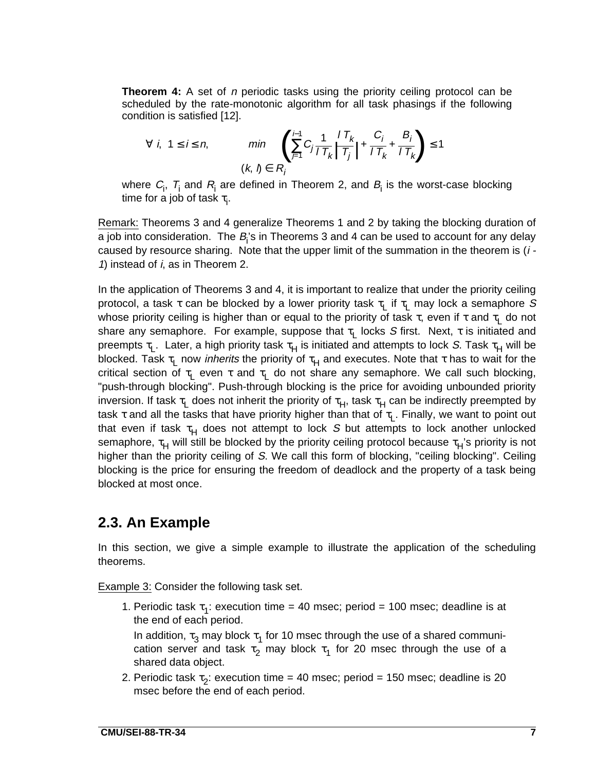**Theorem 4:** A set of *n* periodic tasks using the priority ceiling protocol can be scheduled by the rate-monotonic algorithm for all task phasings if the following condition is satisfied [12].

$$
\forall i, 1 \le i \le n, \qquad \min_{(k, l) \in R_i} \left( \sum_{j=1}^{i-1} C_j \frac{1}{1 \cdot T_k} \left| \frac{1 \cdot T_k}{T_j} \right| + \frac{C_i}{1 \cdot T_k} + \frac{B_i}{1 \cdot T_k} \right) \le 1
$$

where  $C_i$ ,  $T_i$  and  $R_i$  are defined in Theorem 2, and  $B_i$  is the worst-case blocking time for a job of task  $\tau_{\sf j}$ .

Remark: Theorems 3 and 4 generalize Theorems 1 and 2 by taking the blocking duration of a job into consideration. The  $B_i$ 's in Theorems 3 and 4 can be used to account for any delay caused by resource sharing. Note that the upper limit of the summation in the theorem is  $(i -$ 1) instead of  $i$ , as in Theorem 2.

In the application of Theorems 3 and 4, it is important to realize that under the priority ceiling protocol, a task τ can be blocked by a lower priority task  $\tau_1$  if  $\tau_1$  may lock a semaphore S whose priority ceiling is higher than or equal to the priority of task  $\tau$ , even if  $\tau$  and  $\tau_1$  do not share any semaphore. For example, suppose that  $\tau_1$  locks S first. Next,  $\tau$  is initiated and preempts  $\tau_l$ . Later, a high priority task  $\tau_H$  is initiated and attempts to lock S. Task  $\tau_H$  will be blocked. Task  $\tau_L$  now *inherits* the priority of  $\tau_H$  and executes. Note that  $\tau$  has to wait for the critical section of  $\tau_L$  even  $\tau$  and  $\tau_L$  do not share any semaphore. We call such blocking, "push-through blocking". Push-through blocking is the price for avoiding unbounded priority inversion. If task  $\tau_1$  does not inherit the priority of  $\tau_H$ , task  $\tau_H$  can be indirectly preempted by task τ and all the tasks that have priority higher than that of  $\tau_1$ . Finally, we want to point out that even if task  $\tau_H$  does not attempt to lock S but attempts to lock another unlocked semaphore,  $\tau_H$  will still be blocked by the priority ceiling protocol because  $\tau_H$ 's priority is not higher than the priority ceiling of S. We call this form of blocking, "ceiling blocking". Ceiling blocking is the price for ensuring the freedom of deadlock and the property of a task being blocked at most once.

#### **2.3. An Example**

In this section, we give a simple example to illustrate the application of the scheduling theorems.

Example 3: Consider the following task set.

1. Periodic task  $\tau_1$ : execution time = 40 msec; period = 100 msec; deadline is at the end of each period.

In addition,  $\tau_3$  may block  $\tau_1$  for 10 msec through the use of a shared communication server and task  $\tau_2$  may block  $\tau_1$  for 20 msec through the use of a shared data object.

2. Periodic task  $\tau_2$ : execution time = 40 msec; period = 150 msec; deadline is 20 msec before the end of each period.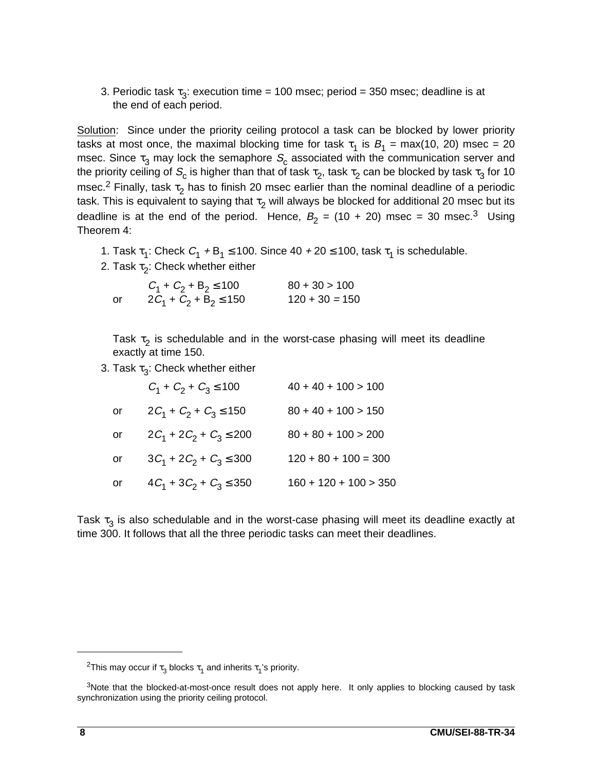3. Periodic task  $\tau_3$ : execution time = 100 msec; period = 350 msec; deadline is at the end of each period.

Solution: Since under the priority ceiling protocol a task can be blocked by lower priority tasks at most once, the maximal blocking time for task  $\tau_1$  is  $B_1 = \max(10, 20)$  msec = 20 msec. Since  $\tau_3$  may lock the semaphore  $S_c$  associated with the communication server and the priority ceiling of  $S_c$  is higher than that of task  $\tau_2$ , task  $\tau_2$  can be blocked by task  $\tau_3$  for 10 msec.<sup>2</sup> Finally, task  $\tau_2$  has to finish 20 msec earlier than the nominal deadline of a periodic task. This is equivalent to saying that  $\tau_2$  will always be blocked for additional 20 msec but its deadline is at the end of the period. Hence,  $B_2 = (10 + 20)$  msec = 30 msec.<sup>3</sup> Using Theorem 4:

1. Task  $\tau_1$ : Check  $C_1 + B_1 \le 100$ . Since  $40 + 20 \le 100$ , task  $\tau_1$  is schedulable.

2. Task  $\tau_2$ : Check whether either

|    | $C_1 + C_2 + B_2 \le 100$  | $80 + 30 > 100$  |
|----|----------------------------|------------------|
| or | $2C_1 + C_2 + B_2 \le 150$ | $120 + 30 = 150$ |

Task  $\tau_2$  is schedulable and in the worst-case phasing will meet its deadline exactly at time 150.

3. Task  $\tau_3$ : Check whether either

|    | $C_1 + C_2 + C_3 \le 100$    | $40 + 40 + 100 > 100$   |
|----|------------------------------|-------------------------|
| or | $2C_1 + C_2 + C_3 \le 150$   | $80 + 40 + 100 > 150$   |
| or | $2C_1 + 2C_2 + C_3 \le 200$  | $80 + 80 + 100 > 200$   |
| or | $3C_1 + 2C_2 + C_3 \leq 300$ | $120 + 80 + 100 = 300$  |
| or | $4C_1 + 3C_2 + C_3 \le 350$  | $160 + 120 + 100 > 350$ |

Task  $\tau_3$  is also schedulable and in the worst-case phasing will meet its deadline exactly at time 300. It follows that all the three periodic tasks can meet their deadlines.

<sup>&</sup>lt;sup>2</sup>This may occur if  $\tau_3$  blocks  $\tau_1$  and inherits  $\tau_1$ 's priority.

<sup>&</sup>lt;sup>3</sup>Note that the blocked-at-most-once result does not apply here. It only applies to blocking caused by task synchronization using the priority ceiling protocol.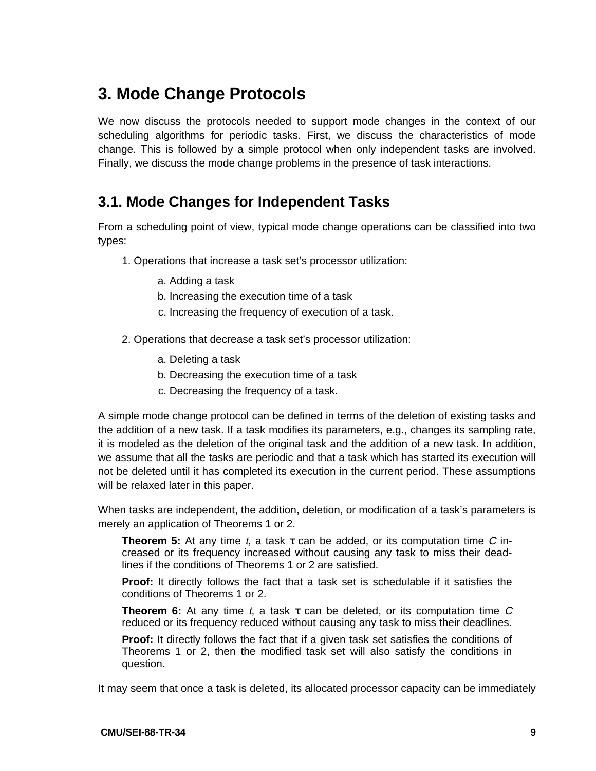# **3. Mode Change Protocols**

We now discuss the protocols needed to support mode changes in the context of our scheduling algorithms for periodic tasks. First, we discuss the characteristics of mode change. This is followed by a simple protocol when only independent tasks are involved. Finally, we discuss the mode change problems in the presence of task interactions.

### **3.1. Mode Changes for Independent Tasks**

From a scheduling point of view, typical mode change operations can be classified into two types:

- 1. Operations that increase a task set's processor utilization:
	- a. Adding a task
	- b. Increasing the execution time of a task
	- c. Increasing the frequency of execution of a task.
- 2. Operations that decrease a task set's processor utilization:
	- a. Deleting a task
	- b. Decreasing the execution time of a task
	- c. Decreasing the frequency of a task.

A simple mode change protocol can be defined in terms of the deletion of existing tasks and the addition of a new task. If a task modifies its parameters, e.g., changes its sampling rate, it is modeled as the deletion of the original task and the addition of a new task. In addition, we assume that all the tasks are periodic and that a task which has started its execution will not be deleted until it has completed its execution in the current period. These assumptions will be relaxed later in this paper.

When tasks are independent, the addition, deletion, or modification of a task's parameters is merely an application of Theorems 1 or 2.

**Theorem 5:** At any time t, a task  $\tau$  can be added, or its computation time C increased or its frequency increased without causing any task to miss their deadlines if the conditions of Theorems 1 or 2 are satisfied.

**Proof:** It directly follows the fact that a task set is schedulable if it satisfies the conditions of Theorems 1 or 2.

**Theorem 6:** At any time t, a task  $\tau$  can be deleted, or its computation time C reduced or its frequency reduced without causing any task to miss their deadlines.

**Proof:** It directly follows the fact that if a given task set satisfies the conditions of Theorems 1 or 2, then the modified task set will also satisfy the conditions in question.

It may seem that once a task is deleted, its allocated processor capacity can be immediately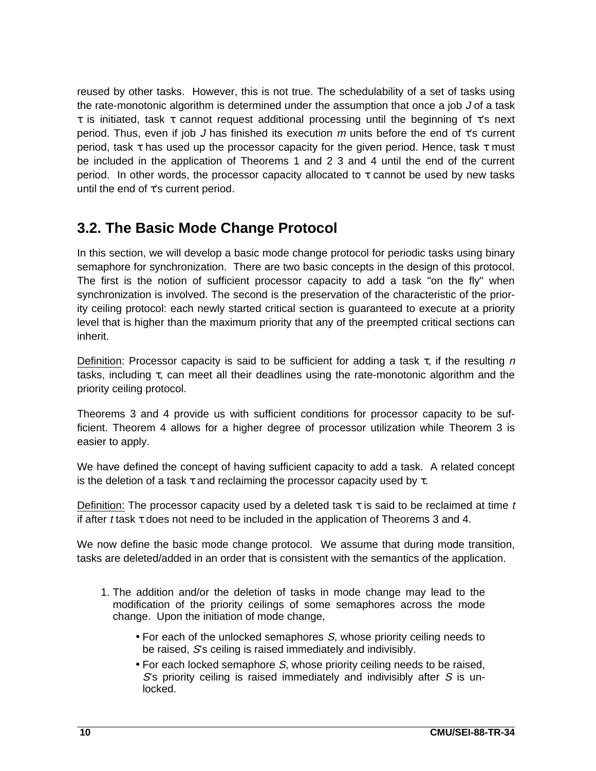reused by other tasks. However, this is not true. The schedulability of a set of tasks using the rate-monotonic algorithm is determined under the assumption that once a job J of a task τ is initiated, task τ cannot request additional processing until the beginning of τ's next period. Thus, even if job J has finished its execution  $m$  units before the end of  $\tau$ 's current period, task τ has used up the processor capacity for the given period. Hence, task τ must be included in the application of Theorems 1 and 2 3 and 4 until the end of the current period. In other words, the processor capacity allocated to τ cannot be used by new tasks until the end of  $\tau$ 's current period.

#### **3.2. The Basic Mode Change Protocol**

In this section, we will develop a basic mode change protocol for periodic tasks using binary semaphore for synchronization. There are two basic concepts in the design of this protocol. The first is the notion of sufficient processor capacity to add a task "on the fly" when synchronization is involved. The second is the preservation of the characteristic of the priority ceiling protocol: each newly started critical section is guaranteed to execute at a priority level that is higher than the maximum priority that any of the preempted critical sections can inherit.

Definition: Processor capacity is said to be sufficient for adding a task  $\tau$ , if the resulting n tasks, including τ, can meet all their deadlines using the rate-monotonic algorithm and the priority ceiling protocol.

Theorems 3 and 4 provide us with sufficient conditions for processor capacity to be sufficient. Theorem 4 allows for a higher degree of processor utilization while Theorem 3 is easier to apply.

We have defined the concept of having sufficient capacity to add a task. A related concept is the deletion of a task  $\tau$  and reclaiming the processor capacity used by  $\tau$ .

Definition: The processor capacity used by a deleted task  $\tau$  is said to be reclaimed at time t if after t task  $\tau$  does not need to be included in the application of Theorems 3 and 4.

We now define the basic mode change protocol. We assume that during mode transition, tasks are deleted/added in an order that is consistent with the semantics of the application.

- 1. The addition and/or the deletion of tasks in mode change may lead to the modification of the priority ceilings of some semaphores across the mode change. Upon the initiation of mode change,
	- For each of the unlocked semaphores S, whose priority ceiling needs to be raised, S's ceiling is raised immediately and indivisibly.
	- For each locked semaphore S, whose priority ceiling needs to be raised,  $S$ 's priority ceiling is raised immediately and indivisibly after  $S$  is unlocked.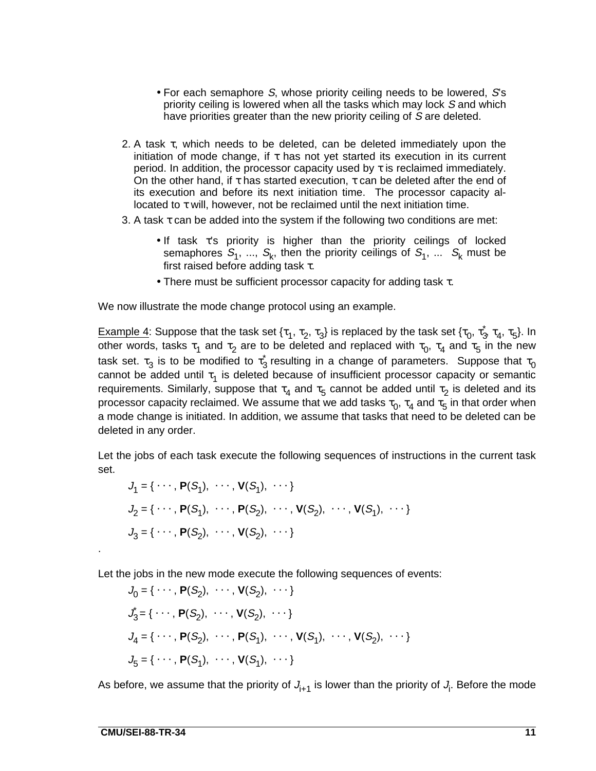- For each semaphore S, whose priority ceiling needs to be lowered, S's priority ceiling is lowered when all the tasks which may lock S and which have priorities greater than the new priority ceiling of S are deleted.
- 2. A task  $\tau$ , which needs to be deleted, can be deleted immediately upon the initiation of mode change, if  $\tau$  has not yet started its execution in its current period. In addition, the processor capacity used by  $\tau$  is reclaimed immediately. On the other hand, if  $\tau$  has started execution,  $\tau$  can be deleted after the end of its execution and before its next initiation time. The processor capacity allocated to τ will, however, not be reclaimed until the next initiation time.
- 3. A task  $\tau$  can be added into the system if the following two conditions are met:
	- If task τ's priority is higher than the priority ceilings of locked semaphores  $S_1$ , ...,  $S_k$ , then the priority ceilings of  $S_1$ , ...  $S_k$  must be first raised before adding task  $\tau$ .
	- There must be sufficient processor capacity for adding task τ.

We now illustrate the mode change protocol using an example.

Example 4: Suppose that the task set { $\tau_1$ ,  $\tau_2$ ,  $\tau_3$ } is replaced by the task set { $\tau_0$ ,  $\tau_3$ ,  $\tau_4$ ,  $\tau_5$ }. In other words, tasks  $\tau_1$  and  $\tau_2$  are to be deleted and replaced with  $\tau_0$ ,  $\tau_4$  and  $\tau_5$  in the new task set.  $\tau_3$  is to be modified to  $\tau_3$  resulting in a change of parameters. Suppose that  $\tau_0$ cannot be added until  $\tau_1$  is deleted because of insufficient processor capacity or semantic requirements. Similarly, suppose that  $\tau_4$  and  $\tau_5$  cannot be added until  $\tau_2$  is deleted and its processor capacity reclaimed. We assume that we add tasks  $\tau_0$ ,  $\tau_4$  and  $\tau_5$  in that order when a mode change is initiated. In addition, we assume that tasks that need to be deleted can be deleted in any order.

Let the jobs of each task execute the following sequences of instructions in the current task set.

$$
J_1 = \{ \cdots, \mathbf{P}(S_1), \cdots, \mathbf{V}(S_1), \cdots \}
$$
  
\n
$$
J_2 = \{ \cdots, \mathbf{P}(S_1), \cdots, \mathbf{P}(S_2), \cdots, \mathbf{V}(S_2), \cdots, \mathbf{V}(S_1), \cdots \}
$$
  
\n
$$
J_3 = \{ \cdots, \mathbf{P}(S_2), \cdots, \mathbf{V}(S_2), \cdots \}
$$

Let the jobs in the new mode execute the following sequences of events:

 $J_0 = \{ \cdots, P(S_2), \cdots, V(S_2), \cdots \}$  $\mathcal{J}_3 = \{ \cdots, \mathbf{P}(S_2), \cdots, \mathbf{V}(S_2), \cdots \}$  $J_4 = \{ \cdots, P(S_2), \cdots, P(S_1), \cdots, V(S_1), \cdots, V(S_2), \cdots \}$  $J_5 = \{ \cdots, P(S_1), \cdots, V(S_1), \cdots \}$ 

As before, we assume that the priority of  $J_{i+1}$  is lower than the priority of  $J_i$ . Before the mode

.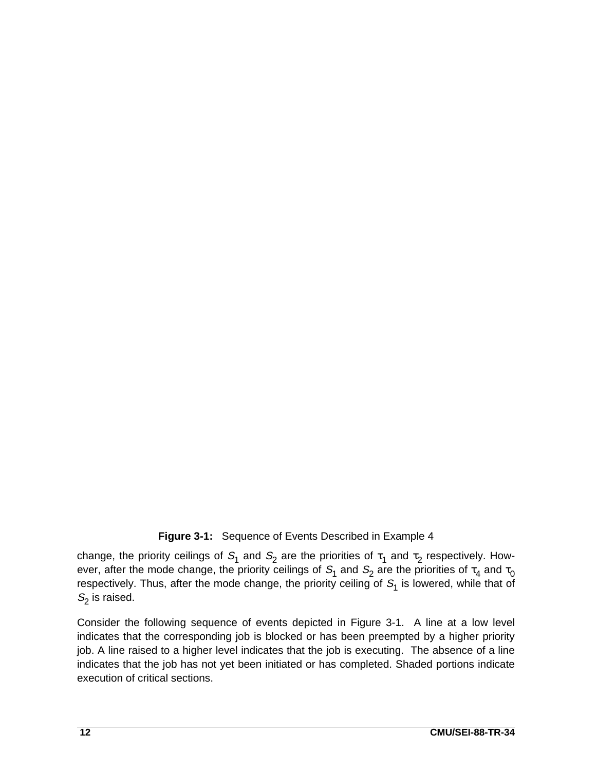#### **Figure 3-1:** Sequence of Events Described in Example 4

change, the priority ceilings of  $S_1$  and  $S_2$  are the priorities of  $\tau_1$  and  $\tau_2$  respectively. However, after the mode change, the priority ceilings of  $S_1$  and  $S_2$  are the priorities of  $\tau_4$  and  $\tau_0$ respectively. Thus, after the mode change, the priority ceiling of  $S<sub>1</sub>$  is lowered, while that of  $S<sub>2</sub>$  is raised.

Consider the following sequence of events depicted in Figure 3-1. A line at a low level indicates that the corresponding job is blocked or has been preempted by a higher priority job. A line raised to a higher level indicates that the job is executing. The absence of a line indicates that the job has not yet been initiated or has completed. Shaded portions indicate execution of critical sections.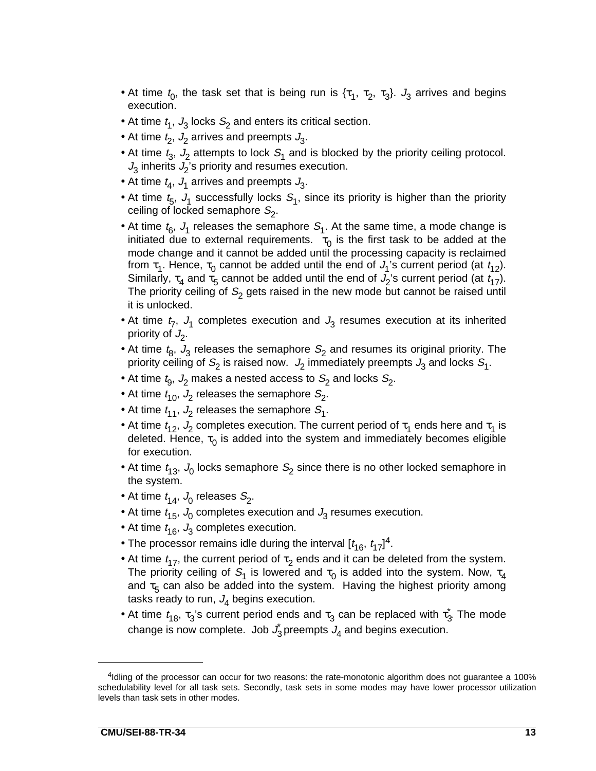- At time  $t_0$ , the task set that is being run is  $\{\tau_1, \tau_2, \tau_3\}$ .  $J_3$  arrives and begins execution.
- At time  $t_1$ ,  $J_3$  locks  $S_2$  and enters its critical section.
- At time  $t_2$ ,  $J_2$  arrives and preempts  $J_3$ .
- At time  $t_3$ ,  $J_2$  attempts to lock  $S_1$  and is blocked by the priority ceiling protocol.  $J_3$  inherits  $J_2$ 's priority and resumes execution.
- At time  $t_4$ ,  $J_1$  arrives and preempts  $J_3$ .
- At time  $t_{5}$ ,  $J_{1}$  successfully locks  $S_{1}$ , since its priority is higher than the priority ceiling of locked semaphore  $S_2$ .
- At time  $t_{6}$ ,  $J_{1}$  releases the semaphore  $S_{1}$ . At the same time, a mode change is initiated due to external requirements.  $\tau_0$  is the first task to be added at the mode change and it cannot be added until the processing capacity is reclaimed from  $\tau_1$ . Hence,  $\tau_0$  cannot be added until the end of  $J_1$ 's current period (at  $t_{12}$ ). Similarly,  $\tau_4$  and  $\tau_5$  cannot be added until the end of  $J_2$ 's current period (at  $t_{17}$ ). The priority ceiling of  $S_2$  gets raised in the new mode but cannot be raised until it is unlocked.
- At time  $t_7$ ,  $J_1$  completes execution and  $J_3$  resumes execution at its inherited priority of  $J_2$ .
- At time  $t_8$ ,  $J_3$  releases the semaphore  $S_2$  and resumes its original priority. The priority ceiling of  $S_2$  is raised now.  $J_2$  immediately preempts  $J_3$  and locks  $S_1$ .
- At time  $t_9$ ,  $J_2$  makes a nested access to  $S_2$  and locks  $S_2$ .
- At time  $t_{10}$ ,  $J_2$  releases the semaphore  $S_2$ .
- At time  $t_{11}$ ,  $J_2$  releases the semaphore  $S_1$ .
- At time  $t_{12}$ ,  $J_2$  completes execution. The current period of  $\tau_1$  ends here and  $\tau_1$  is deleted. Hence,  $\tau_0$  is added into the system and immediately becomes eligible for execution.
- At time  $t_{13}$ ,  $J_0$  locks semaphore  $S_2$  since there is no other locked semaphore in the system.
- At time  $t_{14}$ ,  $J_0$  releases  $S_2$ .
- At time  $t_{15}$ ,  $J_0$  completes execution and  $J_3$  resumes execution.
- At time  $t_{16}$ ,  $J_3$  completes execution.
- The processor remains idle during the interval  $[t_{16}, t_{17}]^4$ .
- At time  $t_{17}$ , the current period of  $\tau_2$  ends and it can be deleted from the system. The priority ceiling of  $S_1$  is lowered and  $\tau_0$  is added into the system. Now,  $\tau_4$ and  $\tau_5$  can also be added into the system. Having the highest priority among tasks ready to run,  $J_4$  begins execution.
- At time  $t_{18}$ ,  $\tau_3$ 's current period ends and  $\tau_3$  can be replaced with  $\tau_3^*$ . The mode change is now complete. Job  $J_3$  preempts  $J_4$  and begins execution.

<sup>&</sup>lt;sup>4</sup>Idling of the processor can occur for two reasons: the rate-monotonic algorithm does not guarantee a 100% schedulability level for all task sets. Secondly, task sets in some modes may have lower processor utilization levels than task sets in other modes.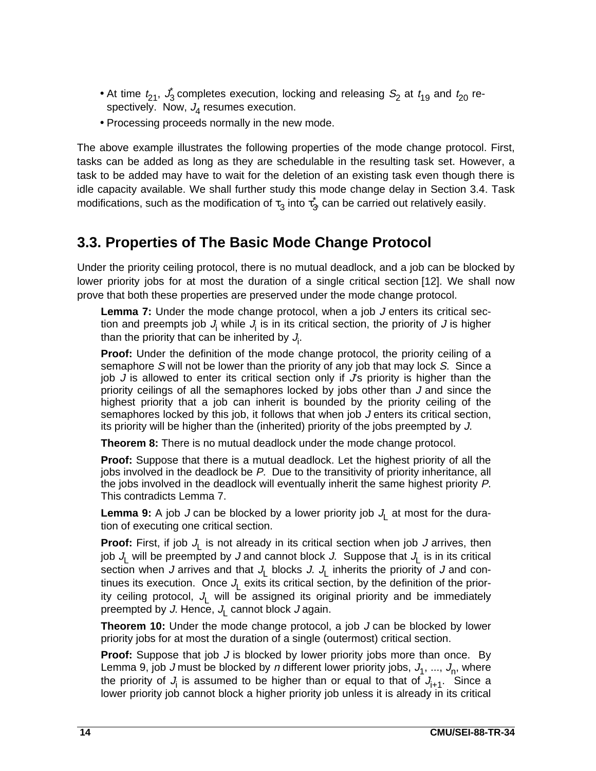- At time  $t_{21}$ ,  $\dot{J}_3$  completes execution, locking and releasing  $S_2$  at  $t_{19}$  and  $t_{20}$  respectively. Now,  $J<sub>A</sub>$  resumes execution.
- Processing proceeds normally in the new mode.

The above example illustrates the following properties of the mode change protocol. First, tasks can be added as long as they are schedulable in the resulting task set. However, a task to be added may have to wait for the deletion of an existing task even though there is idle capacity available. We shall further study this mode change delay in Section 3.4. Task modifications, such as the modification of  $\tau_3$  into  $\tau_3$  can be carried out relatively easily.

### **3.3. Properties of The Basic Mode Change Protocol**

Under the priority ceiling protocol, there is no mutual deadlock, and a job can be blocked by lower priority jobs for at most the duration of a single critical section [12]. We shall now prove that both these properties are preserved under the mode change protocol.

Lemma 7: Under the mode change protocol, when a job J enters its critical section and preempts job  $J_i$  while  $J_i$  is in its critical section, the priority of J is higher than the priority that can be inherited by  $J_{\mathsf{i}}$ .

**Proof:** Under the definition of the mode change protocol, the priority ceiling of a semaphore S will not be lower than the priority of any job that may lock S. Since a job  $J$  is allowed to enter its critical section only if  $J$ s priority is higher than the priority ceilings of all the semaphores locked by jobs other than J and since the highest priority that a job can inherit is bounded by the priority ceiling of the semaphores locked by this job, it follows that when job J enters its critical section, its priority will be higher than the (inherited) priority of the jobs preempted by J.

**Theorem 8:** There is no mutual deadlock under the mode change protocol.

**Proof:** Suppose that there is a mutual deadlock. Let the highest priority of all the jobs involved in the deadlock be P. Due to the transitivity of priority inheritance, all the jobs involved in the deadlock will eventually inherit the same highest priority P. This contradicts Lemma 7.

**Lemma 9:** A job J can be blocked by a lower priority job  $J_1$  at most for the duration of executing one critical section.

**Proof:** First, if job  $J_L$  is not already in its critical section when job J arrives, then job  $J_1$  will be preempted by J and cannot block J. Suppose that  $J_1$  is in its critical section when J arrives and that  $J_L$  blocks J.  $J_L$  inherits the priority of J and continues its execution. Once  $J_1$  exits its critical section, by the definition of the priority ceiling protocol,  $J_L$  will be assigned its original priority and be immediately preempted by J. Hence,  $J_L$  cannot block J again.

**Theorem 10:** Under the mode change protocol, a job J can be blocked by lower priority jobs for at most the duration of a single (outermost) critical section.

**Proof:** Suppose that job J is blocked by lower priority jobs more than once. By Lemma 9, job J must be blocked by n different lower priority jobs,  $J_1$ , ...,  $J_n$ , where the priority of  $J_i$  is assumed to be higher than or equal to that of  $J_{i+1}$ . Since a lower priority job cannot block a higher priority job unless it is already in its critical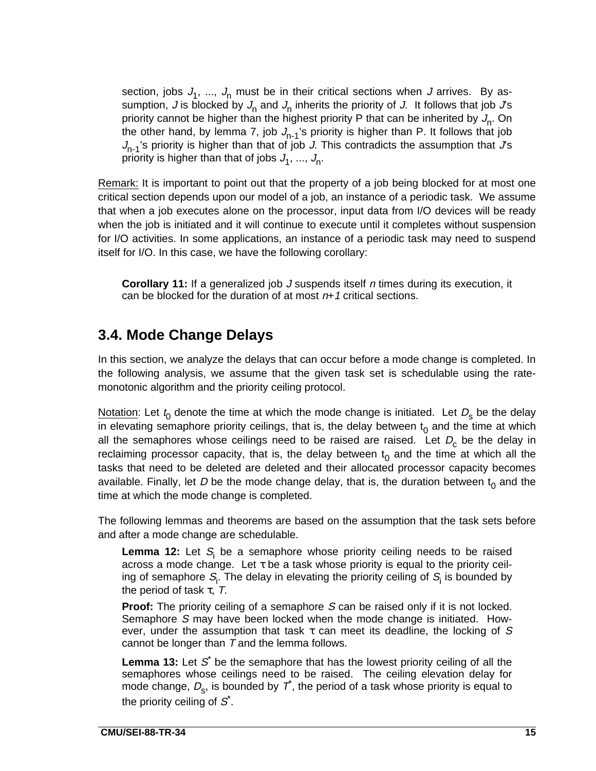section, jobs  $J_1$ , ...,  $J_n$  must be in their critical sections when J arrives. By assumption, J is blocked by  $J_n$  and  $J_n$  inherits the priority of J. It follows that job  $Js$ priority cannot be higher than the highest priority P that can be inherited by  $J_n$ . On the other hand, by lemma 7, job  $J_{n-1}$ 's priority is higher than P. It follows that job  $J_{n-1}$ 's priority is higher than that of job J. This contradicts the assumption that  $J$ s priority is higher than that of jobs  $J_1, ..., J_n$ .

Remark: It is important to point out that the property of a job being blocked for at most one critical section depends upon our model of a job, an instance of a periodic task. We assume that when a job executes alone on the processor, input data from I/O devices will be ready when the job is initiated and it will continue to execute until it completes without suspension for I/O activities. In some applications, an instance of a periodic task may need to suspend itself for I/O. In this case, we have the following corollary:

**Corollary 11:** If a generalized job J suspends itself n times during its execution, it can be blocked for the duration of at most  $n+1$  critical sections.

#### **3.4. Mode Change Delays**

In this section, we analyze the delays that can occur before a mode change is completed. In the following analysis, we assume that the given task set is schedulable using the ratemonotonic algorithm and the priority ceiling protocol.

Notation: Let  $t_0$  denote the time at which the mode change is initiated. Let  $D_s$  be the delay in elevating semaphore priority ceilings, that is, the delay between  $t_0$  and the time at which all the semaphores whose ceilings need to be raised are raised. Let  $D_c$  be the delay in reclaiming processor capacity, that is, the delay between  $t_0$  and the time at which all the tasks that need to be deleted are deleted and their allocated processor capacity becomes available. Finally, let D be the mode change delay, that is, the duration between  $t_0$  and the time at which the mode change is completed.

The following lemmas and theorems are based on the assumption that the task sets before and after a mode change are schedulable.

**Lemma 12:** Let  $S_i$  be a semaphore whose priority ceiling needs to be raised across a mode change. Let τ be a task whose priority is equal to the priority ceiling of semaphore  $\mathcal{S}_{\mathsf{i}}.$  The delay in elevating the priority ceiling of  $\mathcal{S}_{\mathsf{i}}$  is bounded by the period of task  $\tau$ , T.

**Proof:** The priority ceiling of a semaphore S can be raised only if it is not locked. Semaphore S may have been locked when the mode change is initiated. However, under the assumption that task  $\tau$  can meet its deadline, the locking of S cannot be longer than  $T$  and the lemma follows.

**Lemma 13:** Let  $S^*$  be the semaphore that has the lowest priority ceiling of all the semaphores whose ceilings need to be raised. The ceiling elevation delay for mode change,  $D_s$ , is bounded by  $\vec{\tau}$ , the period of a task whose priority is equal to the priority ceiling of  $S^*$ .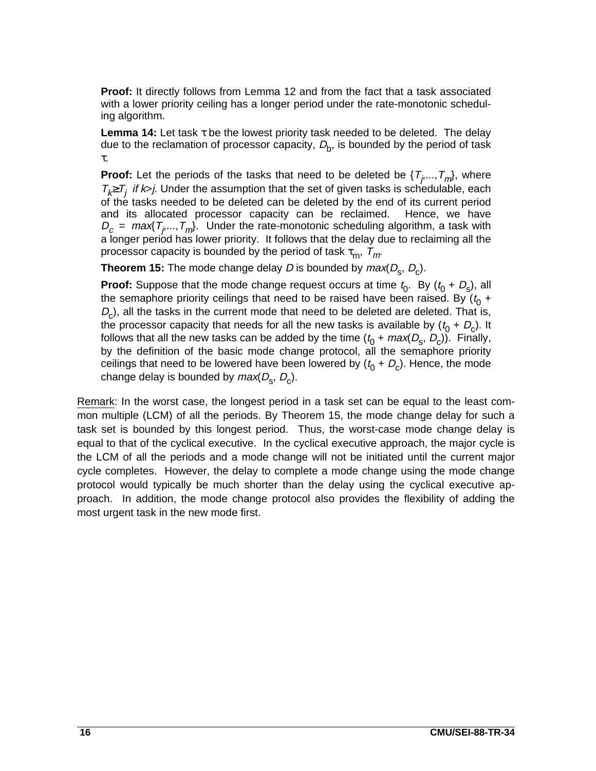**Proof:** It directly follows from Lemma 12 and from the fact that a task associated with a lower priority ceiling has a longer period under the rate-monotonic scheduling algorithm.

**Lemma 14:** Let task τ be the lowest priority task needed to be deleted. The delay due to the reclamation of processor capacity,  $D_{\rm b}$ , is bounded by the period of task τ.

**Proof:** Let the periods of the tasks that need to be deleted be  $\{T_i, ..., T_m\}$ , where  $T_k \geq T_i$  if k>j. Under the assumption that the set of given tasks is schedulable, each of the tasks needed to be deleted can be deleted by the end of its current period and its allocated processor capacity can be reclaimed. Hence, we have  $D_c = \text{max}\{T_{i},...,T_{m}\}$ . Under the rate-monotonic scheduling algorithm, a task with a longer period has lower priority. It follows that the delay due to reclaiming all the processor capacity is bounded by the period of task  $\tau_m$ ,  $T_m$ .

**Theorem 15:** The mode change delay D is bounded by  $max(D_s, D_c)$ .

**Proof:** Suppose that the mode change request occurs at time  $t_0$ . By  $(t_0 + D_s)$ , all the semaphore priority ceilings that need to be raised have been raised. By  $(t_0 +$  $D<sub>c</sub>$ ), all the tasks in the current mode that need to be deleted are deleted. That is, the processor capacity that needs for all the new tasks is available by  $(t_0 + D_c)$ . It follows that all the new tasks can be added by the time  $(t_0 + max(D_s, D_c))$ . Finally, by the definition of the basic mode change protocol, all the semaphore priority ceilings that need to be lowered have been lowered by  $(t_0 + D_c)$ . Hence, the mode change delay is bounded by  $max(D_{s}, D_{c})$ .

Remark: In the worst case, the longest period in a task set can be equal to the least common multiple (LCM) of all the periods. By Theorem 15, the mode change delay for such a task set is bounded by this longest period. Thus, the worst-case mode change delay is equal to that of the cyclical executive. In the cyclical executive approach, the major cycle is the LCM of all the periods and a mode change will not be initiated until the current major cycle completes. However, the delay to complete a mode change using the mode change protocol would typically be much shorter than the delay using the cyclical executive approach. In addition, the mode change protocol also provides the flexibility of adding the most urgent task in the new mode first.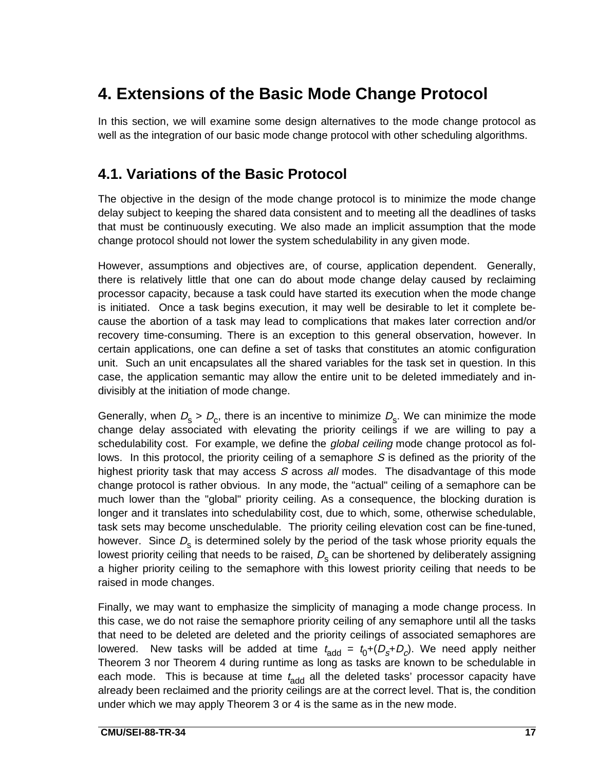# **4. Extensions of the Basic Mode Change Protocol**

In this section, we will examine some design alternatives to the mode change protocol as well as the integration of our basic mode change protocol with other scheduling algorithms.

### **4.1. Variations of the Basic Protocol**

The objective in the design of the mode change protocol is to minimize the mode change delay subject to keeping the shared data consistent and to meeting all the deadlines of tasks that must be continuously executing. We also made an implicit assumption that the mode change protocol should not lower the system schedulability in any given mode.

However, assumptions and objectives are, of course, application dependent. Generally, there is relatively little that one can do about mode change delay caused by reclaiming processor capacity, because a task could have started its execution when the mode change is initiated. Once a task begins execution, it may well be desirable to let it complete because the abortion of a task may lead to complications that makes later correction and/or recovery time-consuming. There is an exception to this general observation, however. In certain applications, one can define a set of tasks that constitutes an atomic configuration unit. Such an unit encapsulates all the shared variables for the task set in question. In this case, the application semantic may allow the entire unit to be deleted immediately and indivisibly at the initiation of mode change.

Generally, when  $D_s > D_c$ , there is an incentive to minimize  $D_s$ . We can minimize the mode change delay associated with elevating the priority ceilings if we are willing to pay a schedulability cost. For example, we define the global ceiling mode change protocol as follows. In this protocol, the priority ceiling of a semaphore S is defined as the priority of the highest priority task that may access S across all modes. The disadvantage of this mode change protocol is rather obvious. In any mode, the "actual" ceiling of a semaphore can be much lower than the "global" priority ceiling. As a consequence, the blocking duration is longer and it translates into schedulability cost, due to which, some, otherwise schedulable, task sets may become unschedulable. The priority ceiling elevation cost can be fine-tuned, however. Since  $D_s$  is determined solely by the period of the task whose priority equals the lowest priority ceiling that needs to be raised,  $D<sub>s</sub>$  can be shortened by deliberately assigning a higher priority ceiling to the semaphore with this lowest priority ceiling that needs to be raised in mode changes.

Finally, we may want to emphasize the simplicity of managing a mode change process. In this case, we do not raise the semaphore priority ceiling of any semaphore until all the tasks that need to be deleted are deleted and the priority ceilings of associated semaphores are lowered. New tasks will be added at time  $t_{\text{add}} = t_0 + (D_s + D_c)$ . We need apply neither Theorem 3 nor Theorem 4 during runtime as long as tasks are known to be schedulable in each mode. This is because at time  $t_{add}$  all the deleted tasks' processor capacity have already been reclaimed and the priority ceilings are at the correct level. That is, the condition under which we may apply Theorem 3 or 4 is the same as in the new mode.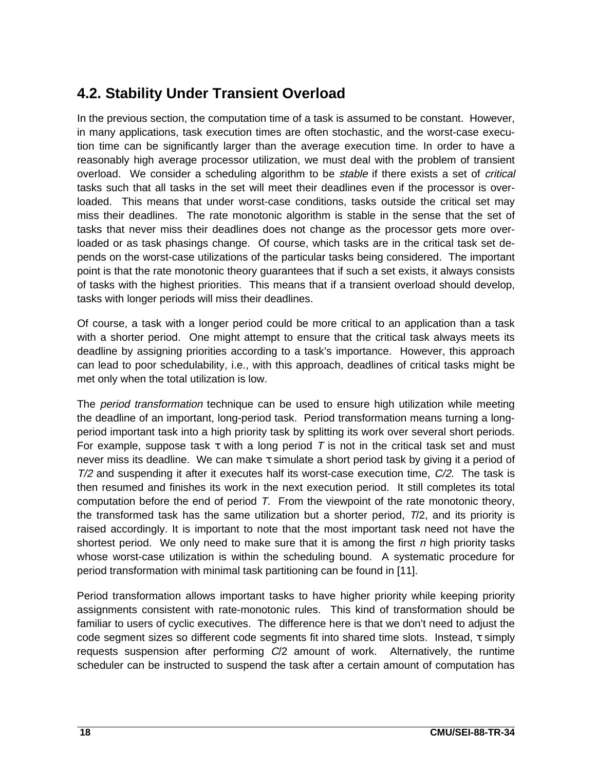### **4.2. Stability Under Transient Overload**

In the previous section, the computation time of a task is assumed to be constant. However, in many applications, task execution times are often stochastic, and the worst-case execution time can be significantly larger than the average execution time. In order to have a reasonably high average processor utilization, we must deal with the problem of transient overload. We consider a scheduling algorithm to be *stable* if there exists a set of *critical* tasks such that all tasks in the set will meet their deadlines even if the processor is overloaded. This means that under worst-case conditions, tasks outside the critical set may miss their deadlines. The rate monotonic algorithm is stable in the sense that the set of tasks that never miss their deadlines does not change as the processor gets more overloaded or as task phasings change. Of course, which tasks are in the critical task set depends on the worst-case utilizations of the particular tasks being considered. The important point is that the rate monotonic theory guarantees that if such a set exists, it always consists of tasks with the highest priorities. This means that if a transient overload should develop, tasks with longer periods will miss their deadlines.

Of course, a task with a longer period could be more critical to an application than a task with a shorter period. One might attempt to ensure that the critical task always meets its deadline by assigning priorities according to a task's importance. However, this approach can lead to poor schedulability, i.e., with this approach, deadlines of critical tasks might be met only when the total utilization is low.

The *period transformation* technique can be used to ensure high utilization while meeting the deadline of an important, long-period task. Period transformation means turning a longperiod important task into a high priority task by splitting its work over several short periods. For example, suppose task  $\tau$  with a long period T is not in the critical task set and must never miss its deadline. We can make  $\tau$  simulate a short period task by giving it a period of  $T/2$  and suspending it after it executes half its worst-case execution time,  $C/2$ . The task is then resumed and finishes its work in the next execution period. It still completes its total computation before the end of period T. From the viewpoint of the rate monotonic theory, the transformed task has the same utilization but a shorter period, T/2, and its priority is raised accordingly. It is important to note that the most important task need not have the shortest period. We only need to make sure that it is among the first  $n$  high priority tasks whose worst-case utilization is within the scheduling bound. A systematic procedure for period transformation with minimal task partitioning can be found in [11].

Period transformation allows important tasks to have higher priority while keeping priority assignments consistent with rate-monotonic rules. This kind of transformation should be familiar to users of cyclic executives. The difference here is that we don't need to adjust the code segment sizes so different code segments fit into shared time slots. Instead, τ simply requests suspension after performing  $C/2$  amount of work. Alternatively, the runtime scheduler can be instructed to suspend the task after a certain amount of computation has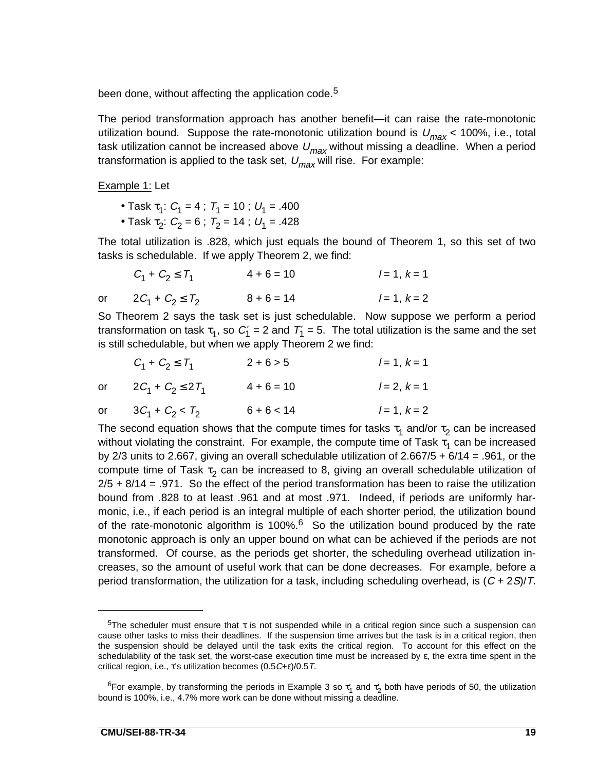been done, without affecting the application code.<sup>5</sup>

The period transformation approach has another benefit—it can raise the rate-monotonic utilization bound. Suppose the rate-monotonic utilization bound is  $U_{max}$  < 100%, i.e., total task utilization cannot be increased above  $U_{max}$  without missing a deadline. When a period transformation is applied to the task set,  $U_{max}$  will rise. For example:

Example 1: Let

- Task  $\tau_1$ :  $C_1$  = 4;  $T_1$  = 10;  $U_1$  = .400
- Task  $\tau_2$ :  $C_2$  = 6;  $T_2$  = 14;  $U_1$  = .428

The total utilization is .828, which just equals the bound of Theorem 1, so this set of two tasks is schedulable. If we apply Theorem 2, we find:

|    | $C_1 + C_2 \le T_1$  | $4 + 6 = 10$ | $l = 1, k = 1$ |
|----|----------------------|--------------|----------------|
| or | $2C_1 + C_2 \le T_2$ | $8 + 6 = 14$ | $l = 1, k = 2$ |

So Theorem 2 says the task set is just schedulable. Now suppose we perform a period transformation on task  $\tau_1$ , so  $C_1' = 2$  and  $T_1' = 5$ . The total utilization is the same and the set is still schedulable, but when we apply Theorem 2 we find:

| $C_1 + C_2 \le T_1$      | $2 + 6 > 5$  | $l = 1, k = 1$ |
|--------------------------|--------------|----------------|
| or $2C_1 + C_2 \le 2T_1$ | $4 + 6 = 10$ | $l = 2, k = 1$ |
| or $3C_1 + C_2 < T_2$    | $6 + 6 < 14$ | $l = 1, k = 2$ |

The second equation shows that the compute times for tasks  $\tau_1$  and/or  $\tau_2$  can be increased without violating the constraint. For example, the compute time of Task  $\tau_1$  can be increased by 2/3 units to 2.667, giving an overall schedulable utilization of 2.667/5 + 6/14 = .961, or the compute time of Task  $\tau_2$  can be increased to 8, giving an overall schedulable utilization of  $2/5 + 8/14 = .971$ . So the effect of the period transformation has been to raise the utilization bound from .828 to at least .961 and at most .971. Indeed, if periods are uniformly harmonic, i.e., if each period is an integral multiple of each shorter period, the utilization bound of the rate-monotonic algorithm is 100%. $<sup>6</sup>$  So the utilization bound produced by the rate</sup> monotonic approach is only an upper bound on what can be achieved if the periods are not transformed. Of course, as the periods get shorter, the scheduling overhead utilization increases, so the amount of useful work that can be done decreases. For example, before a period transformation, the utilization for a task, including scheduling overhead, is  $(C + 2S)/T$ .

<sup>&</sup>lt;sup>5</sup>The scheduler must ensure that τ is not suspended while in a critical region since such a suspension can cause other tasks to miss their deadlines. If the suspension time arrives but the task is in a critical region, then the suspension should be delayed until the task exits the critical region. To account for this effect on the schedulability of the task set, the worst-case execution time must be increased by  $\varepsilon$ , the extra time spent in the critical region, i.e., τ's utilization becomes (0.5C+ε)/0.5T.

<sup>&</sup>lt;sup>6</sup>For example, by transforming the periods in Example 3 so  $\tau'_1$  and  $\tau'_2$  both have periods of 50, the utilization bound is 100%, i.e., 4.7% more work can be done without missing a deadline.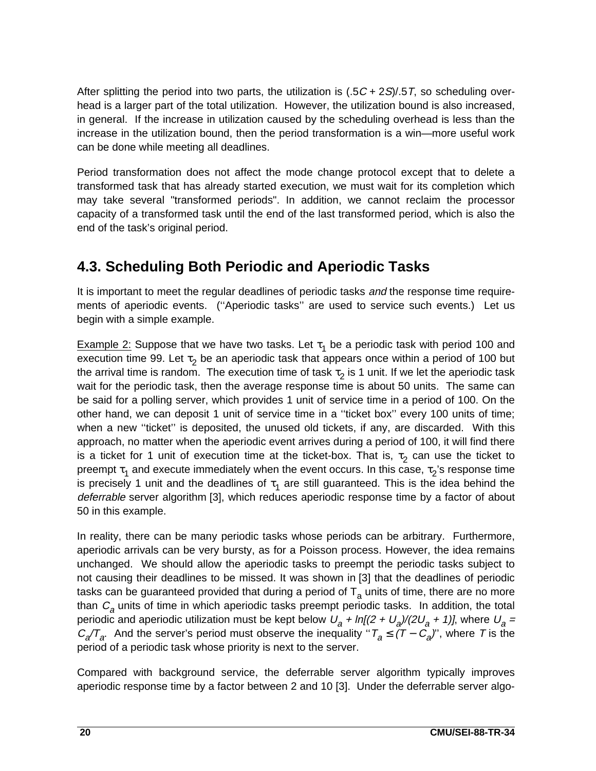After splitting the period into two parts, the utilization is  $(.5C + 2S)/.5T$ , so scheduling overhead is a larger part of the total utilization. However, the utilization bound is also increased, in general. If the increase in utilization caused by the scheduling overhead is less than the increase in the utilization bound, then the period transformation is a win—more useful work can be done while meeting all deadlines.

Period transformation does not affect the mode change protocol except that to delete a transformed task that has already started execution, we must wait for its completion which may take several "transformed periods". In addition, we cannot reclaim the processor capacity of a transformed task until the end of the last transformed period, which is also the end of the task's original period.

### **4.3. Scheduling Both Periodic and Aperiodic Tasks**

It is important to meet the regular deadlines of periodic tasks and the response time requirements of aperiodic events. (''Aperiodic tasks'' are used to service such events.) Let us begin with a simple example.

Example 2: Suppose that we have two tasks. Let  $\tau_1$  be a periodic task with period 100 and execution time 99. Let  $\tau_2$  be an aperiodic task that appears once within a period of 100 but the arrival time is random. The execution time of task  $\tau_2$  is 1 unit. If we let the aperiodic task wait for the periodic task, then the average response time is about 50 units. The same can be said for a polling server, which provides 1 unit of service time in a period of 100. On the other hand, we can deposit 1 unit of service time in a ''ticket box'' every 100 units of time; when a new ''ticket'' is deposited, the unused old tickets, if any, are discarded. With this approach, no matter when the aperiodic event arrives during a period of 100, it will find there is a ticket for 1 unit of execution time at the ticket-box. That is,  $\tau_2$  can use the ticket to preempt  $\tau_1$  and execute immediately when the event occurs. In this case,  $\tau_2$ 's response time is precisely 1 unit and the deadlines of  $\tau_1$  are still guaranteed. This is the idea behind the deferrable server algorithm [3], which reduces aperiodic response time by a factor of about 50 in this example.

In reality, there can be many periodic tasks whose periods can be arbitrary. Furthermore, aperiodic arrivals can be very bursty, as for a Poisson process. However, the idea remains unchanged. We should allow the aperiodic tasks to preempt the periodic tasks subject to not causing their deadlines to be missed. It was shown in [3] that the deadlines of periodic tasks can be guaranteed provided that during a period of  $T<sub>a</sub>$  units of time, there are no more than  $C_a$  units of time in which aperiodic tasks preempt periodic tasks. In addition, the total periodic and aperiodic utilization must be kept below  $U_a + ln[(2 + U_a)/(2U_a + 1)]$ , where  $U_a =$  $C_q/T_q$ . And the server's period must observe the inequality " $T_q \le (T - C_q)$ ", where T is the period of a periodic task whose priority is next to the server.

Compared with background service, the deferrable server algorithm typically improves aperiodic response time by a factor between 2 and 10 [3]. Under the deferrable server algo-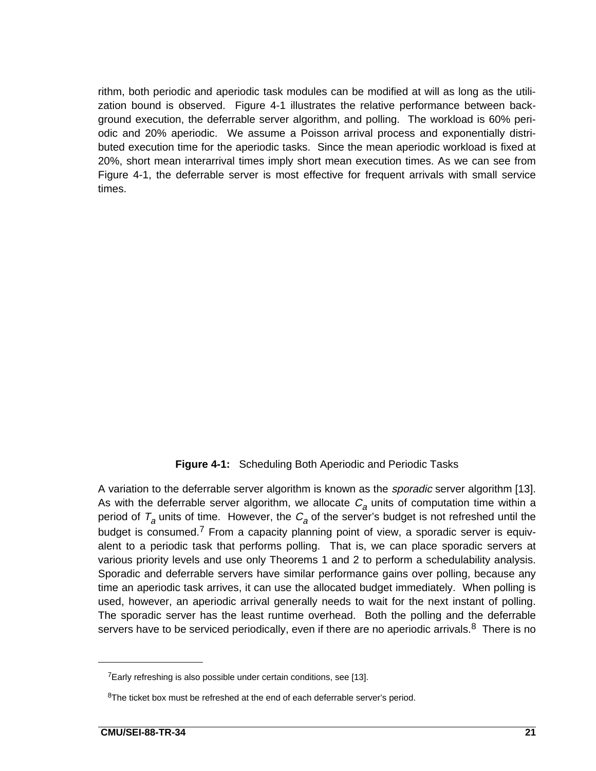rithm, both periodic and aperiodic task modules can be modified at will as long as the utilization bound is observed. Figure 4-1 illustrates the relative performance between background execution, the deferrable server algorithm, and polling. The workload is 60% periodic and 20% aperiodic. We assume a Poisson arrival process and exponentially distributed execution time for the aperiodic tasks. Since the mean aperiodic workload is fixed at 20%, short mean interarrival times imply short mean execution times. As we can see from Figure 4-1, the deferrable server is most effective for frequent arrivals with small service times.

#### **Figure 4-1:** Scheduling Both Aperiodic and Periodic Tasks

A variation to the deferrable server algorithm is known as the *sporadic* server algorithm [13]. As with the deferrable server algorithm, we allocate  $C_a$  units of computation time within a period of  $T_a$  units of time. However, the  $C_a$  of the server's budget is not refreshed until the budget is consumed.<sup>7</sup> From a capacity planning point of view, a sporadic server is equivalent to a periodic task that performs polling. That is, we can place sporadic servers at various priority levels and use only Theorems 1 and 2 to perform a schedulability analysis. Sporadic and deferrable servers have similar performance gains over polling, because any time an aperiodic task arrives, it can use the allocated budget immediately. When polling is used, however, an aperiodic arrival generally needs to wait for the next instant of polling. The sporadic server has the least runtime overhead. Both the polling and the deferrable servers have to be serviced periodically, even if there are no aperiodic arrivals.<sup>8</sup> There is no

 $7$ Early refreshing is also possible under certain conditions, see [13].

 $8$ The ticket box must be refreshed at the end of each deferrable server's period.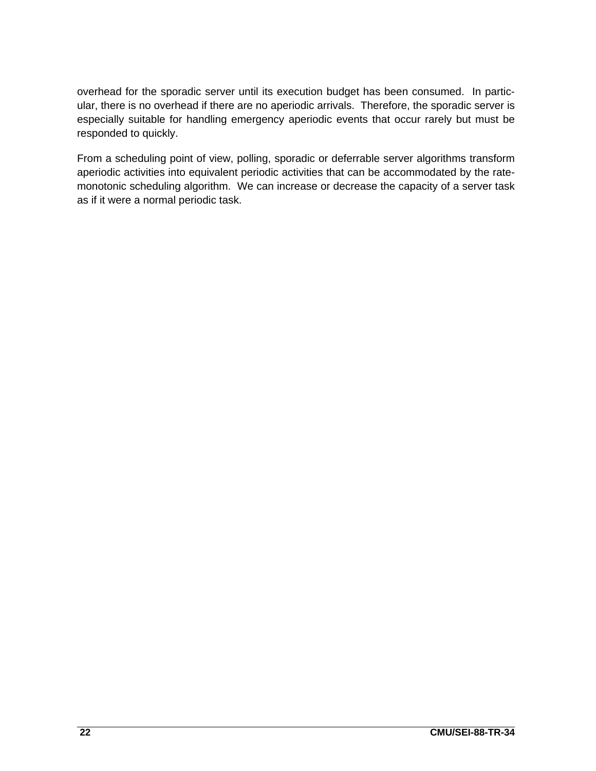overhead for the sporadic server until its execution budget has been consumed. In particular, there is no overhead if there are no aperiodic arrivals. Therefore, the sporadic server is especially suitable for handling emergency aperiodic events that occur rarely but must be responded to quickly.

From a scheduling point of view, polling, sporadic or deferrable server algorithms transform aperiodic activities into equivalent periodic activities that can be accommodated by the ratemonotonic scheduling algorithm. We can increase or decrease the capacity of a server task as if it were a normal periodic task.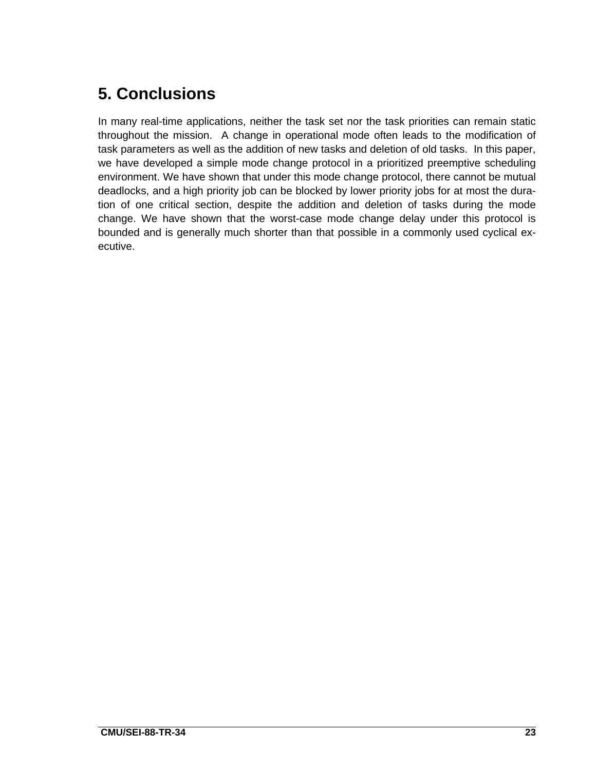# **5. Conclusions**

In many real-time applications, neither the task set nor the task priorities can remain static throughout the mission. A change in operational mode often leads to the modification of task parameters as well as the addition of new tasks and deletion of old tasks. In this paper, we have developed a simple mode change protocol in a prioritized preemptive scheduling environment. We have shown that under this mode change protocol, there cannot be mutual deadlocks, and a high priority job can be blocked by lower priority jobs for at most the duration of one critical section, despite the addition and deletion of tasks during the mode change. We have shown that the worst-case mode change delay under this protocol is bounded and is generally much shorter than that possible in a commonly used cyclical executive.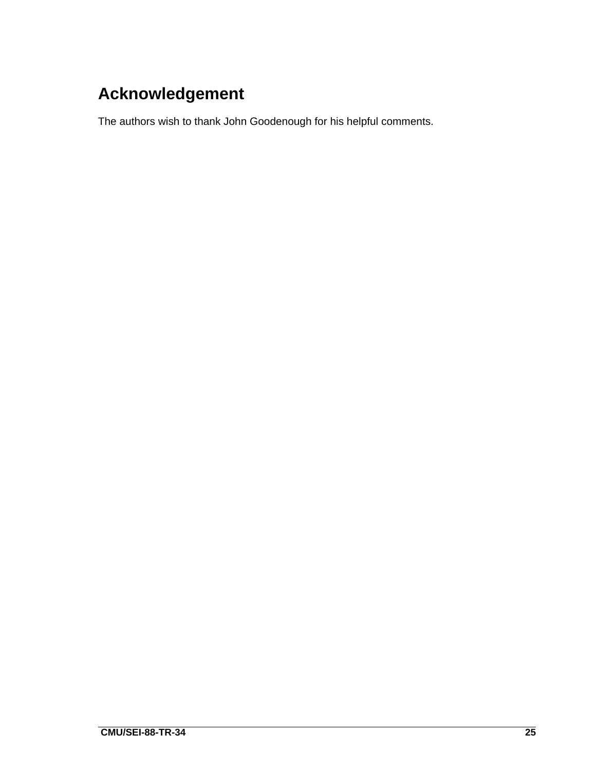# **Acknowledgement**

The authors wish to thank John Goodenough for his helpful comments.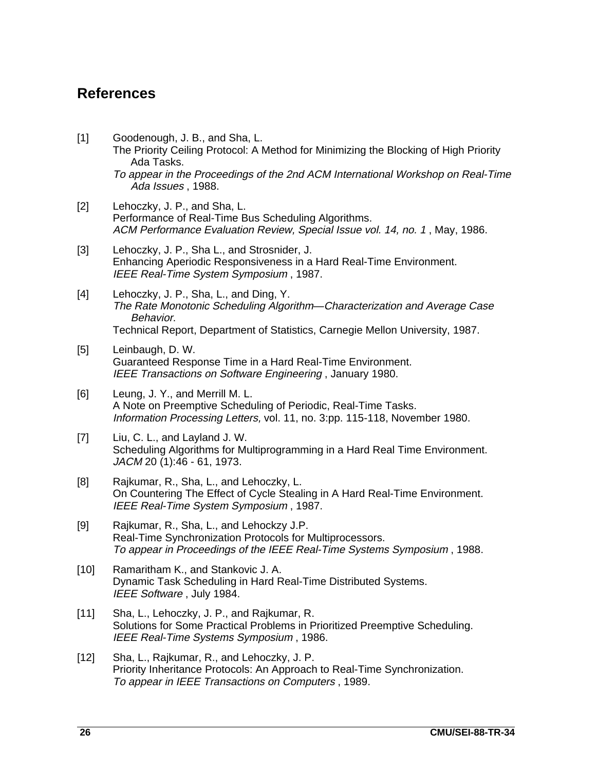#### **References**

[1] Goodenough, J. B., and Sha, L. The Priority Ceiling Protocol: A Method for Minimizing the Blocking of High Priority Ada Tasks.

To appear in the Proceedings of the 2nd ACM International Workshop on Real-Time Ada Issues , 1988.

- [2] Lehoczky, J. P., and Sha, L. Performance of Real-Time Bus Scheduling Algorithms. ACM Performance Evaluation Review, Special Issue vol. 14, no. 1 , May, 1986.
- [3] Lehoczky, J. P., Sha L., and Strosnider, J. Enhancing Aperiodic Responsiveness in a Hard Real-Time Environment. IEEE Real-Time System Symposium , 1987.
- [4] Lehoczky, J. P., Sha, L., and Ding, Y. The Rate Monotonic Scheduling Algorithm—Characterization and Average Case Behavior. Technical Report, Department of Statistics, Carnegie Mellon University, 1987.
- [5] Leinbaugh, D. W. Guaranteed Response Time in a Hard Real-Time Environment. IEEE Transactions on Software Engineering , January 1980.
- [6] Leung, J. Y., and Merrill M. L. A Note on Preemptive Scheduling of Periodic, Real-Time Tasks. Information Processing Letters, vol. 11, no. 3:pp. 115-118, November 1980.
- [7] Liu, C. L., and Layland J. W. Scheduling Algorithms for Multiprogramming in a Hard Real Time Environment. JACM 20 (1):46 - 61, 1973.
- [8] Rajkumar, R., Sha, L., and Lehoczky, L. On Countering The Effect of Cycle Stealing in A Hard Real-Time Environment. IEEE Real-Time System Symposium , 1987.
- [9] Rajkumar, R., Sha, L., and Lehockzy J.P. Real-Time Synchronization Protocols for Multiprocessors. To appear in Proceedings of the IEEE Real-Time Systems Symposium , 1988.
- [10] Ramaritham K., and Stankovic J. A. Dynamic Task Scheduling in Hard Real-Time Distributed Systems. IEEE Software, July 1984.
- [11] Sha, L., Lehoczky, J. P., and Rajkumar, R. Solutions for Some Practical Problems in Prioritized Preemptive Scheduling. IEEE Real-Time Systems Symposium , 1986.
- [12] Sha, L., Rajkumar, R., and Lehoczky, J. P. Priority Inheritance Protocols: An Approach to Real-Time Synchronization. To appear in IEEE Transactions on Computers , 1989.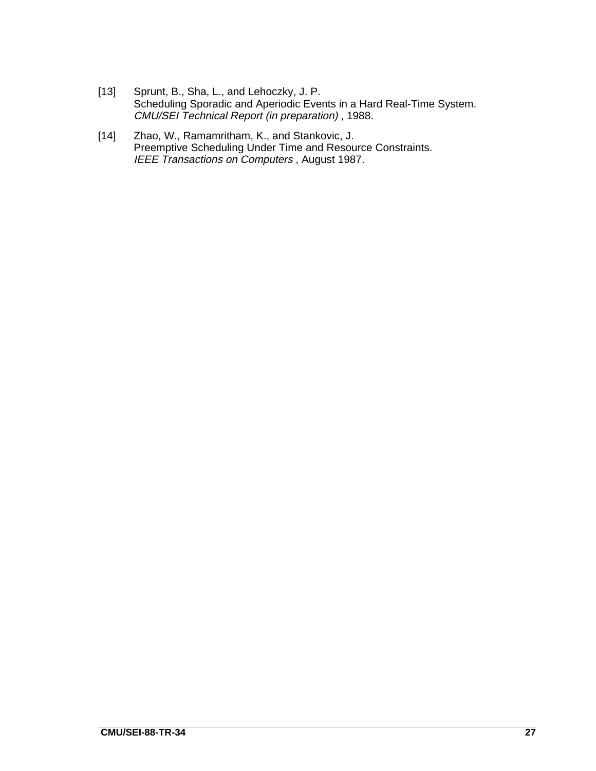- [13] Sprunt, B., Sha, L., and Lehoczky, J. P. Scheduling Sporadic and Aperiodic Events in a Hard Real-Time System. CMU/SEI Technical Report (in preparation) , 1988.
- [14] Zhao, W., Ramamritham, K., and Stankovic, J. Preemptive Scheduling Under Time and Resource Constraints. IEEE Transactions on Computers , August 1987.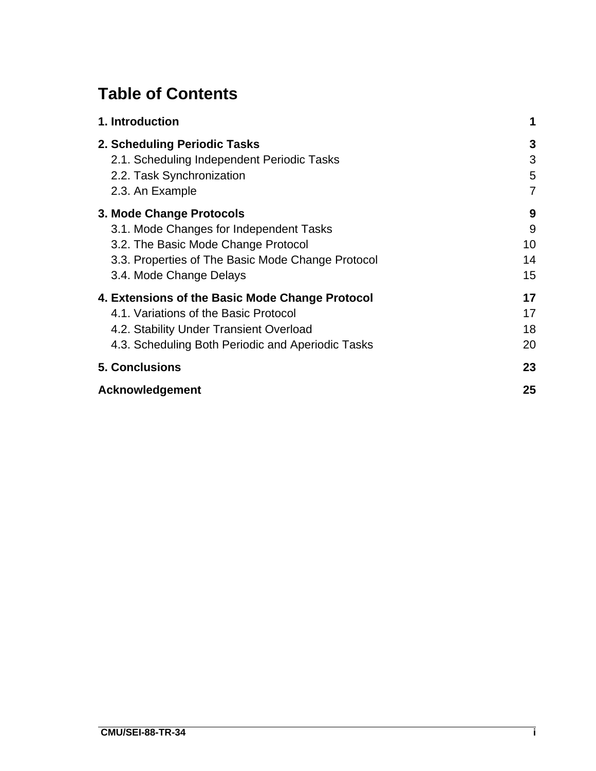# **Table of Contents**

| 1. Introduction                                   | 1  |
|---------------------------------------------------|----|
| 2. Scheduling Periodic Tasks                      | 3  |
| 2.1. Scheduling Independent Periodic Tasks        | 3  |
| 2.2. Task Synchronization                         | 5  |
| 2.3. An Example                                   | 7  |
| 3. Mode Change Protocols                          | 9  |
| 3.1. Mode Changes for Independent Tasks           | 9  |
| 3.2. The Basic Mode Change Protocol               | 10 |
| 3.3. Properties of The Basic Mode Change Protocol | 14 |
| 3.4. Mode Change Delays                           | 15 |
| 4. Extensions of the Basic Mode Change Protocol   | 17 |
| 4.1. Variations of the Basic Protocol             | 17 |
| 4.2. Stability Under Transient Overload           | 18 |
| 4.3. Scheduling Both Periodic and Aperiodic Tasks | 20 |
| <b>5. Conclusions</b>                             | 23 |
| Acknowledgement                                   | 25 |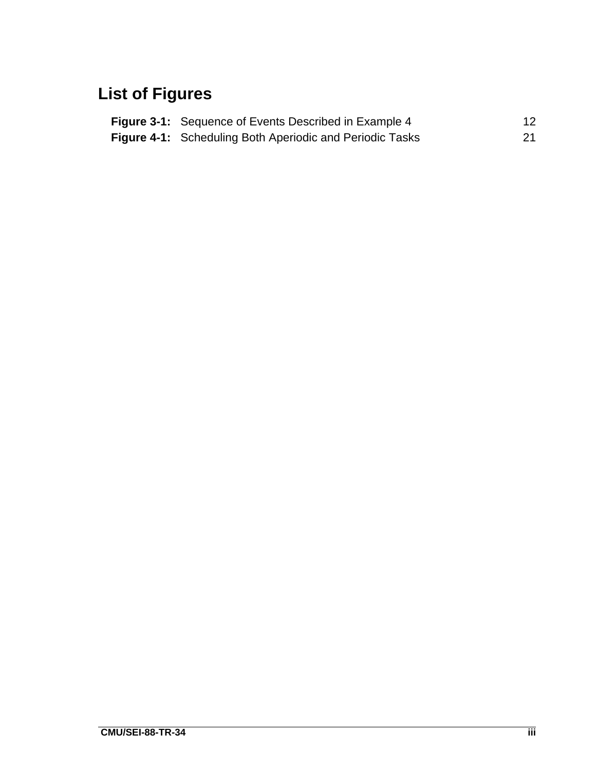# **List of Figures**

| <b>Figure 3-1:</b> Sequence of Events Described in Example 4    | 12 |
|-----------------------------------------------------------------|----|
| <b>Figure 4-1:</b> Scheduling Both Aperiodic and Periodic Tasks | 21 |